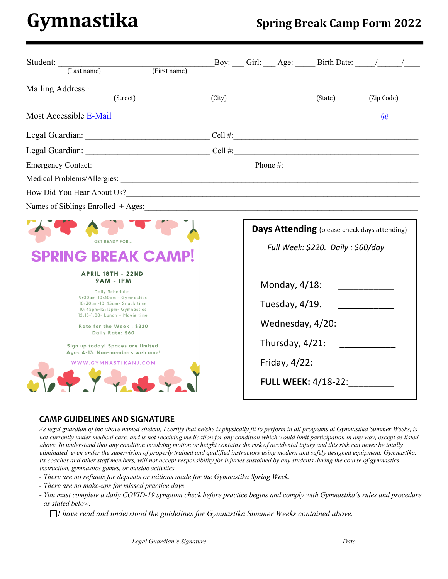# **Gymnastika Spring Break Camp Form <sup>2022</sup>**

| Student:<br>(First name)<br>(Last name)                                                                                                                                                                                                                                                                                                                                                      |                     |                                                     |                                                                                                                                                                                  |            |          |
|----------------------------------------------------------------------------------------------------------------------------------------------------------------------------------------------------------------------------------------------------------------------------------------------------------------------------------------------------------------------------------------------|---------------------|-----------------------------------------------------|----------------------------------------------------------------------------------------------------------------------------------------------------------------------------------|------------|----------|
| (Street)                                                                                                                                                                                                                                                                                                                                                                                     | $\overline{(City)}$ |                                                     | (State)                                                                                                                                                                          | (Zip Code) |          |
| Most Accessible E-Mail and the state of the state of the state of the state of the state of the state of the state of the state of the state of the state of the state of the state of the state of the state of the state of                                                                                                                                                                |                     |                                                     |                                                                                                                                                                                  |            | $\omega$ |
|                                                                                                                                                                                                                                                                                                                                                                                              |                     |                                                     |                                                                                                                                                                                  |            |          |
|                                                                                                                                                                                                                                                                                                                                                                                              |                     |                                                     |                                                                                                                                                                                  |            |          |
|                                                                                                                                                                                                                                                                                                                                                                                              |                     |                                                     |                                                                                                                                                                                  |            |          |
|                                                                                                                                                                                                                                                                                                                                                                                              |                     |                                                     |                                                                                                                                                                                  |            |          |
|                                                                                                                                                                                                                                                                                                                                                                                              |                     |                                                     |                                                                                                                                                                                  |            |          |
| Names of Siblings Enrolled + Ages: 1988 and 2008 and 2008 and 2008 and 2008 and 2008 and 2008 and 2008 and 200                                                                                                                                                                                                                                                                               |                     |                                                     |                                                                                                                                                                                  |            |          |
| <b>GET READY FOR</b><br><b>RING BREAK CAME</b><br><b>APRIL 18TH - 22ND</b><br>$9AM - 1PM$<br>Daily Schedule:<br>9:00am-10:30am - Gymnastics<br>10:30am-10:45am- Snack time<br>10:45pm-12:15pm- Gymnastics<br>12:15-1:00- Lunch + Movie time<br>Rate for the Week: \$220<br>Daily Rate: \$60<br>Sign up today! Spaces are limited.<br>Ages 4-13. Non-members welcome!<br>WWW.GYMNASTIKANJ.COM |                     | Monday, 4/18:<br>Tuesday, 4/19.<br>Friday, $4/22$ : | Days Attending (please check days attending)<br>Full Week: \$220. Daily: \$60/day<br>Wednesday, 4/20: ____________<br>Thursday, 4/21: ____________<br><b>FULL WEEK: 4/18-22:</b> |            |          |

#### **CAMP GUIDELINES AND SIGNATURE**

*As legal guardian of the above named student, I certify that he/she is physically fit to perform in all programs at Gymnastika Summer Weeks, is not currently under medical care, and is not receiving medication for any condition which would limit participation in any way, except as listed above. In understand that any condition involving motion or height contains the risk of accidental injury and this risk can never be totally eliminated, even under the supervision of properly trained and qualified instructors using modern and safely designed equipment. Gymnastika, its coaches and other staff members, will not accept responsibility for injuries sustained by any students during the course of gymnastics instruction, gymnastics games, or outside activities.* 

- *- There are no refunds for deposits or tuitions made for the Gymnastika Spring Week.*
- *- There are no make-ups for missed practice days.*
- *- You must complete a daily COVID-19 symptom check before practice begins and comply with Gymnastika's rules and procedure as stated below.*

 *I have read and understood the guidelines for Gymnastika Summer Weeks contained above.*